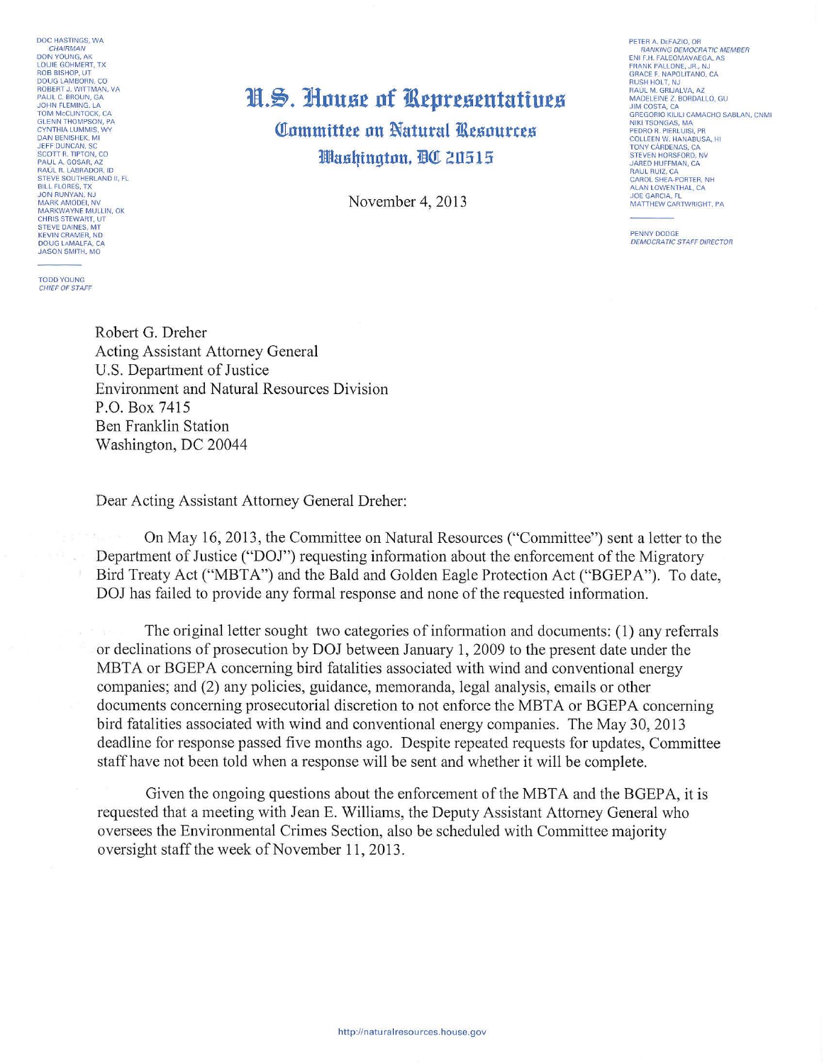DOC HASTINGS, WA CHAIRMAN DON YOUNG, AK<br>LOUIE GOHMERT, TX<br>ROB BISHOP, UT ROB BISHOP, UT<br>DOUG LAMBORN, CO<br>ROBERT J. WITTMAN, VA<br>PAUL C. BROUN, GA JOHN FLEMING, LA TOM MCCLINTOCK, CA<br>GLENN THOMPSON, PA<br>CYNTHIA LUMMIS, WY DAN BENISHEK, MI<br>JEFF DUNCAN, SC<br>SCOTT R. TIPTON, CO **PAUL A. GOSAR, AZ<br>RAUL R. LABRADOR, ID<br>STEVE SOUTHERLAND II, FL<br>BILL FLORES, TX** SILL FLORES, TA<br>JON RUNYAN, NJ<br>MARKWAYNE MULLIN, OK **CHRIS STEWART, UT** STEVE DAINES, MT<br>KEVIN CRAMER, ND DOUG LAMALFA, CA **JASON SMITH, MO** 

**TODD YOUNG**<br>CHIEF OF STAFF

## H.S. House of Representatives Committee on Natural Resources Washinaton, BO 20515

November 4, 2013

PETER A. DEFAZIO, OR FETER A DEFACTOR OF RANKING DEMOCRATIC MEMBER<br>ENI F.H. FALEOMAVAEGA, AS<br>FRANK PALLONE, JR., NJ GRACE E NAPOLITANO, CA **BUSH HOLT, NJ<br>RUSH HOLT, NJ**<br>RAÚL M. GRIJALVA, AZ MADELEINE Z. BORDALLO, GU JIM COSTA, CA<br>JIM COSTA, CA<br>GREGORIO KILILI CAMACHO SABLAN, CNMI NIKI TSONGAS MA NIKI ISONGAS, MA<br>PEDRO R. PIERLUISI, PR<br>COLLEEN W. HANABUSA, HI<br>TONY CÁRDENAS, CA STEVEN HORSEORD, NV STEVEN HORSPORD, NV<br>JARED HUFFMAN, CA<br>RAUL RUIZ, CA<br>CAROL SHEA-PORTER, NH SANDE SHEAT ONTEN, NH<br>ALAN LOWENTHAL, CA<br>JOE GARCIA, FL<br>MATTHEW CARTWRIGHT, PA

PENNY DODGE **DEMOCRATIC STAFF DIRECTOR** 

Robert G. Dreher **Acting Assistant Attorney General** U.S. Department of Justice Environment and Natural Resources Division P.O. Box 7415 **Ben Franklin Station** Washington, DC 20044

Dear Acting Assistant Attorney General Dreher:

On May 16, 2013, the Committee on Natural Resources ("Committee") sent a letter to the Department of Justice ("DOJ") requesting information about the enforcement of the Migratory Bird Treaty Act ("MBTA") and the Bald and Golden Eagle Protection Act ("BGEPA"). To date, DOJ has failed to provide any formal response and none of the requested information.

The original letter sought two categories of information and documents: (1) any referrals or declinations of prosecution by DOJ between January 1, 2009 to the present date under the MBTA or BGEPA concerning bird fatalities associated with wind and conventional energy companies; and (2) any policies, guidance, memoranda, legal analysis, emails or other documents concerning prosecutorial discretion to not enforce the MBTA or BGEPA concerning bird fatalities associated with wind and conventional energy companies. The May 30, 2013 deadline for response passed five months ago. Despite repeated requests for updates, Committee staff have not been told when a response will be sent and whether it will be complete.

Given the ongoing questions about the enforcement of the MBTA and the BGEPA, it is requested that a meeting with Jean E. Williams, the Deputy Assistant Attorney General who oversees the Environmental Crimes Section, also be scheduled with Committee majority oversight staff the week of November 11, 2013.